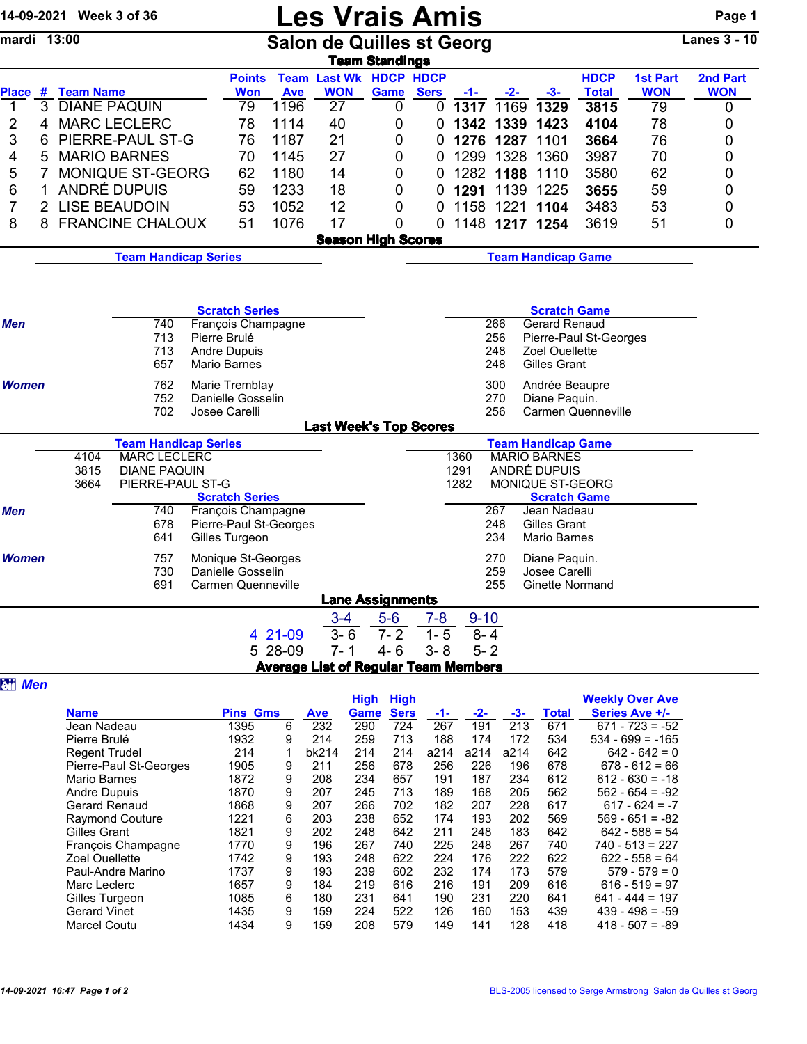| 14-09-2021 Week 3 of 36 |                                                            | <b>Les Vrais Amis</b> |                                          |                  |                    |                                             |                                                |                           |                        |            |                                                  | Page 1                    |                        |                     |  |  |
|-------------------------|------------------------------------------------------------|-----------------------|------------------------------------------|------------------|--------------------|---------------------------------------------|------------------------------------------------|---------------------------|------------------------|------------|--------------------------------------------------|---------------------------|------------------------|---------------------|--|--|
| mardi 13:00             |                                                            |                       |                                          |                  |                    | <b>Salon de Quilles st Georg</b>            | <b>Team Standings</b>                          |                           |                        |            |                                                  |                           |                        | <b>Lanes 3 - 10</b> |  |  |
|                         |                                                            |                       |                                          | <b>Points</b>    |                    | <b>Team Last Wk HDCP HDCP</b>               |                                                |                           |                        |            |                                                  | <b>HDCP</b>               | <b>1st Part</b>        | 2nd Part            |  |  |
| 1                       | Place # Team Name<br>3 DIANE PAQUIN                        |                       |                                          | <b>Won</b><br>79 | <b>Ave</b><br>1196 | <b>WON</b><br>27                            | Game<br>0                                      | <b>Sers</b>               | $-1-$<br>$0$ 1317 1169 | $-2-$      | $-3-$<br>1329                                    | <b>Total</b><br>3815      | <b>WON</b><br>79       | <b>WON</b><br>0     |  |  |
| 2<br>4                  |                                                            | <b>MARC LECLERC</b>   |                                          | 78               | 1114               | 40                                          | 0                                              | 0                         | 1342                   | 1339       | 1423                                             | 4104                      | 78                     | 0                   |  |  |
| 3<br>6                  |                                                            | PIERRE-PAUL ST-G      |                                          | 76               | 1187               | 21                                          | 0                                              | 0                         | 1276                   | 1287       | 1101                                             | 3664                      | 76                     | 0                   |  |  |
| 5<br>4                  |                                                            | <b>MARIO BARNES</b>   |                                          | 70               | 1145               | 27                                          | 0                                              | 0                         | 1299                   | 1328       | 1360                                             | 3987                      | 70                     | 0                   |  |  |
| 5<br>7                  |                                                            | MONIQUE ST-GEORG      |                                          | 62               | 1180               | 14                                          | 0                                              | 0                         |                        | 1282 1188  | 1110                                             | 3580                      | 62                     | 0                   |  |  |
| 6<br>1                  |                                                            | ANDRÉ DUPUIS          |                                          | 59               | 1233               | 18                                          | 0                                              | 0                         | 1291                   | 1139       | 1225                                             | 3655                      | 59                     | 0                   |  |  |
| 7                       |                                                            | 2 LISE BEAUDOIN       |                                          | 53               | 1052               | 12                                          | 0                                              | 0                         | 1158                   | 1221       | 1104                                             | 3483                      | 53                     | 0                   |  |  |
| 8                       |                                                            | 8 FRANCINE CHALOUX    |                                          | 51               | 1076               | 17                                          | 0                                              | 0                         |                        |            | 1148 1217 1254                                   | 3619                      | 51                     | 0                   |  |  |
|                         |                                                            |                       |                                          |                  |                    | <b>Season High Scores</b>                   |                                                |                           |                        |            |                                                  |                           |                        |                     |  |  |
|                         | <b>Team Handicap Series</b>                                |                       |                                          |                  |                    |                                             |                                                | <b>Team Handicap Game</b> |                        |            |                                                  |                           |                        |                     |  |  |
|                         |                                                            |                       |                                          |                  |                    |                                             |                                                |                           |                        |            |                                                  |                           |                        |                     |  |  |
|                         |                                                            |                       |                                          |                  |                    |                                             |                                                |                           |                        |            |                                                  |                           |                        |                     |  |  |
|                         |                                                            |                       | <b>Scratch Series</b>                    |                  |                    |                                             |                                                |                           |                        |            | <b>Scratch Game</b>                              |                           |                        |                     |  |  |
| 740<br>Men              |                                                            |                       | François Champagne                       |                  |                    |                                             | Gerard Renaud<br>266<br>Pierre-Paul St-Georges |                           |                        |            |                                                  |                           |                        |                     |  |  |
|                         |                                                            | 713<br>713            | Pierre Brulé<br><b>Andre Dupuis</b>      |                  |                    |                                             |                                                |                           |                        | 256<br>248 | Zoel Ouellette                                   |                           |                        |                     |  |  |
|                         |                                                            | 657                   | <b>Mario Barnes</b>                      |                  |                    |                                             |                                                |                           |                        | 248        | Gilles Grant                                     |                           |                        |                     |  |  |
| Women                   |                                                            | 762                   |                                          | Marie Tremblay   |                    |                                             |                                                |                           |                        | 300        | Andrée Beaupre                                   |                           |                        |                     |  |  |
|                         |                                                            | 752                   | Danielle Gosselin                        |                  |                    |                                             |                                                |                           |                        | 270        | Diane Paquin.                                    |                           |                        |                     |  |  |
|                         |                                                            | 702                   | Josee Carelli                            |                  |                    |                                             |                                                |                           |                        | 256        |                                                  | <b>Carmen Quenneville</b> |                        |                     |  |  |
|                         |                                                            |                       |                                          |                  |                    | <b>Last Week's Top Scores</b>               |                                                |                           |                        |            |                                                  |                           |                        |                     |  |  |
|                         | <b>Team Handicap Series</b>                                |                       |                                          |                  |                    |                                             |                                                |                           | 1360                   |            | <b>Team Handicap Game</b><br><b>MARIO BARNES</b> |                           |                        |                     |  |  |
|                         | <b>MARC LECLERC</b><br>4104<br>3815<br><b>DIANE PAQUIN</b> |                       |                                          |                  |                    |                                             |                                                |                           | 1291                   |            | ANDRÉ DUPUIS                                     |                           |                        |                     |  |  |
|                         | 3664                                                       | PIERRE-PAUL ST-G      |                                          |                  |                    |                                             |                                                |                           | 1282                   |            | MONIQUE ST-GEORG                                 |                           |                        |                     |  |  |
|                         |                                                            |                       | <b>Scratch Series</b>                    |                  |                    |                                             |                                                |                           |                        |            | <b>Scratch Game</b>                              |                           |                        |                     |  |  |
| <b>Men</b>              |                                                            | 740                   | François Champagne                       |                  |                    |                                             |                                                |                           |                        | 267        | Jean Nadeau                                      |                           |                        |                     |  |  |
|                         |                                                            | 678<br>641            | Pierre-Paul St-Georges<br>Gilles Turgeon |                  |                    |                                             |                                                |                           |                        | 248<br>234 | Gilles Grant<br><b>Mario Barnes</b>              |                           |                        |                     |  |  |
| <b>Women</b>            |                                                            | 757                   | Monique St-Georges                       |                  |                    |                                             |                                                |                           |                        | 270        | Diane Paquin.                                    |                           |                        |                     |  |  |
|                         |                                                            | 730                   | Danielle Gosselin                        |                  |                    |                                             |                                                |                           |                        | 259        | Josee Carelli                                    |                           |                        |                     |  |  |
|                         |                                                            | 691                   | Carmen Quenneville                       |                  |                    |                                             |                                                |                           |                        | 255        | Ginette Normand                                  |                           |                        |                     |  |  |
|                         |                                                            |                       |                                          |                  |                    |                                             | <b>Lane Assignments</b>                        |                           |                        |            |                                                  |                           |                        |                     |  |  |
|                         |                                                            |                       |                                          |                  |                    | $3 - 4$                                     | $5-6$                                          | $7 - 8$                   | $9 - 10$               |            |                                                  |                           |                        |                     |  |  |
|                         |                                                            |                       |                                          | 4 21-09          |                    | $3 - 6$                                     | $7 - 2$                                        | $1 - 5$                   | $8 - 4$                |            |                                                  |                           |                        |                     |  |  |
|                         |                                                            |                       |                                          | 5 28-09          |                    | $7 - 1$                                     | $4 - 6$                                        | $3 - 8$                   | $5 - 2$                |            |                                                  |                           |                        |                     |  |  |
|                         |                                                            |                       |                                          |                  |                    | <b>Average List of Regular Team Members</b> |                                                |                           |                        |            |                                                  |                           |                        |                     |  |  |
| <b>att</b> Men          |                                                            |                       |                                          |                  |                    |                                             | <b>High High</b>                               |                           |                        |            |                                                  |                           | <b>Weekly Over Ave</b> |                     |  |  |
|                         | <b>Name</b>                                                |                       |                                          | <b>Pins Gms</b>  |                    | Ave                                         | Game Sers                                      |                           |                        |            | <b>Total</b>                                     |                           | Series Ave +/-         |                     |  |  |
|                         | lean Nadeau                                                |                       | 1395                                     |                  | 6                  | 232                                         | $290 -$<br>724                                 | 267                       | 191                    | 213        | 671                                              |                           | $671 - 723 = -52$      |                     |  |  |

| <b>Name</b>            | <b>Pins Gms</b> |   | <b>Ave</b> | Game | <b>Sers</b> | -1-  | $-2-$ | -3-  | Total | Series Ave +/-     |
|------------------------|-----------------|---|------------|------|-------------|------|-------|------|-------|--------------------|
| Jean Nadeau            | 1395            | 6 | 232        | 290  | 724         | 267  | 191   | 213  | 671   | $671 - 723 = -52$  |
| Pierre Brulé           | 1932            | 9 | 214        | 259  | 713         | 188  | 174   | 172  | 534   | $534 - 699 = -165$ |
| <b>Regent Trudel</b>   | 214             | 1 | bk214      | 214  | 214         | a214 | a214  | a214 | 642   | $642 - 642 = 0$    |
| Pierre-Paul St-Georges | 1905            | 9 | 211        | 256  | 678         | 256  | 226   | 196  | 678   | $678 - 612 = 66$   |
| Mario Barnes           | 1872            | 9 | 208        | 234  | 657         | 191  | 187   | 234  | 612   | $612 - 630 = -18$  |
| <b>Andre Dupuis</b>    | 1870            | 9 | 207        | 245  | 713         | 189  | 168   | 205  | 562   | $562 - 654 = -92$  |
| Gerard Renaud          | 1868            | 9 | 207        | 266  | 702         | 182  | 207   | 228  | 617   | $617 - 624 = -7$   |
| <b>Raymond Couture</b> | 1221            | 6 | 203        | 238  | 652         | 174  | 193   | 202  | 569   | $569 - 651 = -82$  |
| Gilles Grant           | 1821            | 9 | 202        | 248  | 642         | 211  | 248   | 183  | 642   | $642 - 588 = 54$   |
| Francois Champagne     | 1770            | 9 | 196        | 267  | 740         | 225  | 248   | 267  | 740   | $740 - 513 = 227$  |
| Zoel Ouellette         | 1742            | 9 | 193        | 248  | 622         | 224  | 176   | 222  | 622   | $622 - 558 = 64$   |
| Paul-Andre Marino      | 1737            | 9 | 193        | 239  | 602         | 232  | 174   | 173  | 579   | $579 - 579 = 0$    |
| Marc Leclerc           | 1657            | 9 | 184        | 219  | 616         | 216  | 191   | 209  | 616   | $616 - 519 = 97$   |
| Gilles Turgeon         | 1085            | 6 | 180        | 231  | 641         | 190  | 231   | 220  | 641   | $641 - 444 = 197$  |
| <b>Gerard Vinet</b>    | 1435            | 9 | 159        | 224  | 522         | 126  | 160   | 153  | 439   | $439 - 498 = -59$  |
| <b>Marcel Coutu</b>    | 1434            | 9 | 159        | 208  | 579         | 149  | 141   | 128  | 418   | $418 - 507 = -89$  |